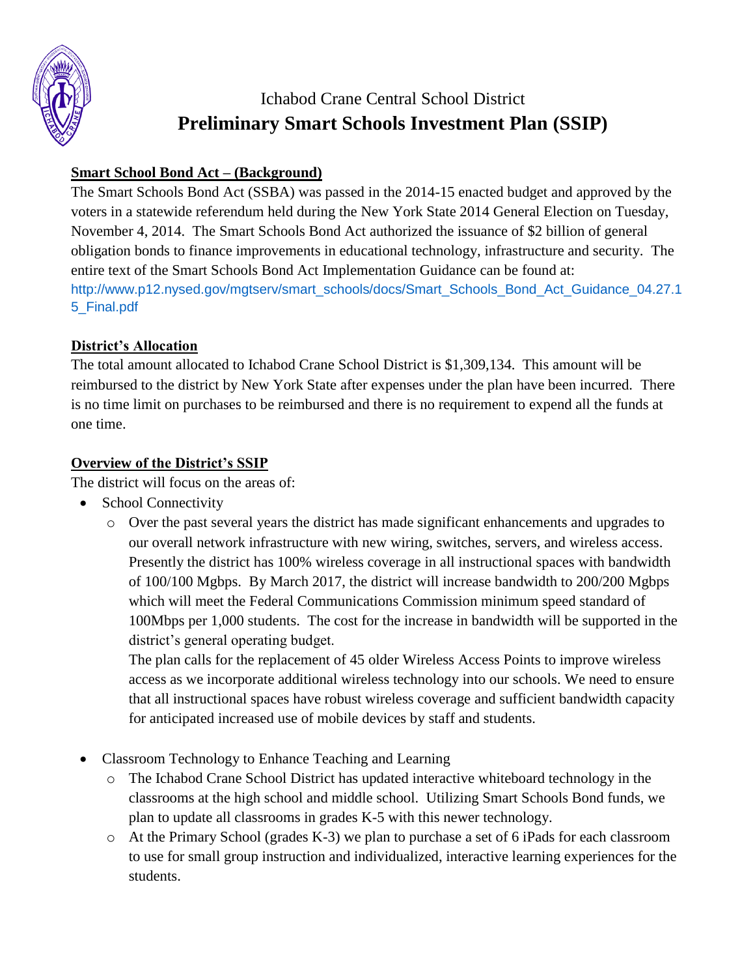

# Ichabod Crane Central School District **Preliminary Smart Schools Investment Plan (SSIP)**

## **Smart School Bond Act – (Background)**

The Smart Schools Bond Act (SSBA) was passed in the 2014-15 enacted budget and approved by the voters in a statewide referendum held during the New York State 2014 General Election on Tuesday, November 4, 2014. The Smart Schools Bond Act authorized the issuance of \$2 billion of general obligation bonds to finance improvements in educational technology, infrastructure and security. The entire text of the Smart Schools Bond Act Implementation Guidance can be found at: [http://www.p12.nysed.gov/mgtserv/smart\\_schools/docs/Smart\\_Schools\\_Bond\\_Act\\_Guidance\\_04.27.1](http://www.p12.nysed.gov/mgtserv/smart_schools/docs/Smart_Schools_Bond_Act_Guidance_04.27.15_Final.pdf) [5\\_Final.pdf](http://www.p12.nysed.gov/mgtserv/smart_schools/docs/Smart_Schools_Bond_Act_Guidance_04.27.15_Final.pdf)

## **District's Allocation**

The total amount allocated to Ichabod Crane School District is \$1,309,134. This amount will be reimbursed to the district by New York State after expenses under the plan have been incurred. There is no time limit on purchases to be reimbursed and there is no requirement to expend all the funds at one time.

## **Overview of the District's SSIP**

The district will focus on the areas of:

- School Connectivity
	- o Over the past several years the district has made significant enhancements and upgrades to our overall network infrastructure with new wiring, switches, servers, and wireless access. Presently the district has 100% wireless coverage in all instructional spaces with bandwidth of 100/100 Mgbps. By March 2017, the district will increase bandwidth to 200/200 Mgbps which will meet the Federal Communications Commission minimum speed standard of 100Mbps per 1,000 students. The cost for the increase in bandwidth will be supported in the district's general operating budget.

The plan calls for the replacement of 45 older Wireless Access Points to improve wireless access as we incorporate additional wireless technology into our schools. We need to ensure that all instructional spaces have robust wireless coverage and sufficient bandwidth capacity for anticipated increased use of mobile devices by staff and students.

- Classroom Technology to Enhance Teaching and Learning
	- o The Ichabod Crane School District has updated interactive whiteboard technology in the classrooms at the high school and middle school. Utilizing Smart Schools Bond funds, we plan to update all classrooms in grades K-5 with this newer technology.
	- o At the Primary School (grades K-3) we plan to purchase a set of 6 iPads for each classroom to use for small group instruction and individualized, interactive learning experiences for the students.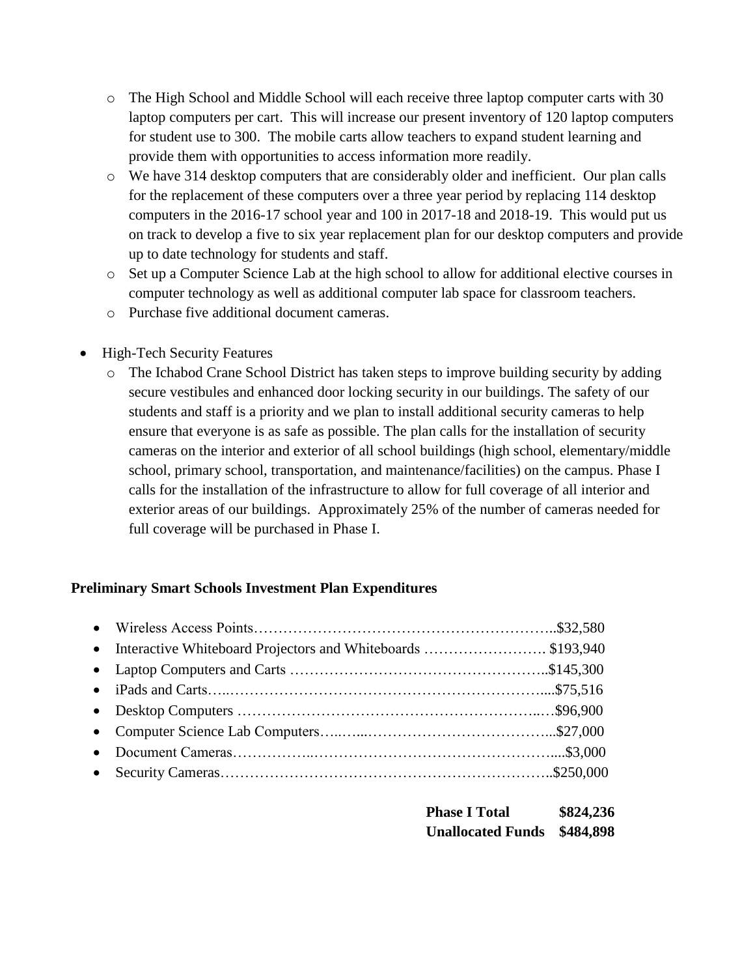- o The High School and Middle School will each receive three laptop computer carts with 30 laptop computers per cart. This will increase our present inventory of 120 laptop computers for student use to 300. The mobile carts allow teachers to expand student learning and provide them with opportunities to access information more readily.
- o We have 314 desktop computers that are considerably older and inefficient. Our plan calls for the replacement of these computers over a three year period by replacing 114 desktop computers in the 2016-17 school year and 100 in 2017-18 and 2018-19. This would put us on track to develop a five to six year replacement plan for our desktop computers and provide up to date technology for students and staff.
- o Set up a Computer Science Lab at the high school to allow for additional elective courses in computer technology as well as additional computer lab space for classroom teachers.
- o Purchase five additional document cameras.
- High-Tech Security Features
	- o The Ichabod Crane School District has taken steps to improve building security by adding secure vestibules and enhanced door locking security in our buildings. The safety of our students and staff is a priority and we plan to install additional security cameras to help ensure that everyone is as safe as possible. The plan calls for the installation of security cameras on the interior and exterior of all school buildings (high school, elementary/middle school, primary school, transportation, and maintenance/facilities) on the campus. Phase I calls for the installation of the infrastructure to allow for full coverage of all interior and exterior areas of our buildings. Approximately 25% of the number of cameras needed for full coverage will be purchased in Phase I.

### **Preliminary Smart Schools Investment Plan Expenditures**

| <b>Phase I Total</b>               | \$824,236 |
|------------------------------------|-----------|
| <b>Unallocated Funds \$484,898</b> |           |